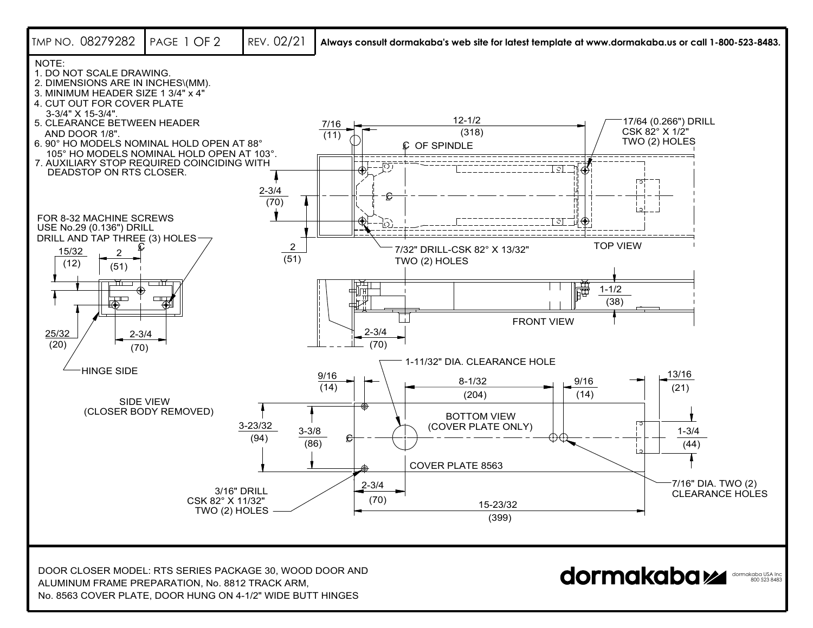